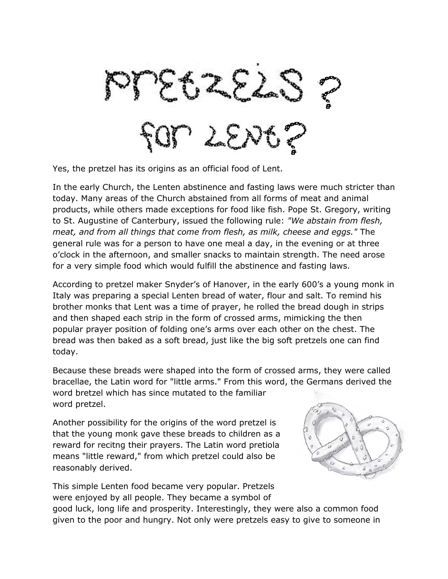IM SEN

Yes, the pretzel has its origins as an official food of Lent.

In the early Church, the Lenten abstinence and fasting laws were much stricter than today. Many areas of the Church abstained from all forms of meat and animal products, while others made exceptions for food like fish. Pope St. Gregory, writing to St. Augustine of Canterbury, issued the following rule: *"We abstain from flesh, meat, and from all things that come from flesh, as milk, cheese and eggs."* The general rule was for a person to have one meal a day, in the evening or at three o'clock in the afternoon, and smaller snacks to maintain strength. The need arose for a very simple food which would fulfill the abstinence and fasting laws.

According to pretzel maker Snyder's of Hanover, in the early 600's a young monk in Italy was preparing a special Lenten bread of water, flour and salt. To remind his brother monks that Lent was a time of prayer, he rolled the bread dough in strips and then shaped each strip in the form of crossed arms, mimicking the then popular prayer position of folding one's arms over each other on the chest. The bread was then baked as a soft bread, just like the big soft pretzels one can find today.

Because these breads were shaped into the form of crossed arms, they were called bracellae, the Latin word for "little arms." From this word, the Germans derived the word bretzel which has since mutated to the familiar word pretzel.

Another possibility for the origins of the word pretzel is that the young monk gave these breads to children as a reward for recitng their prayers. The Latin word pretiola means "little reward," from which pretzel could also be reasonably derived.



This simple Lenten food became very popular. Pretzels were enjoyed by all people. They became a symbol of

good luck, long life and prosperity. Interestingly, they were also a common food given to the poor and hungry. Not only were pretzels easy to give to someone in